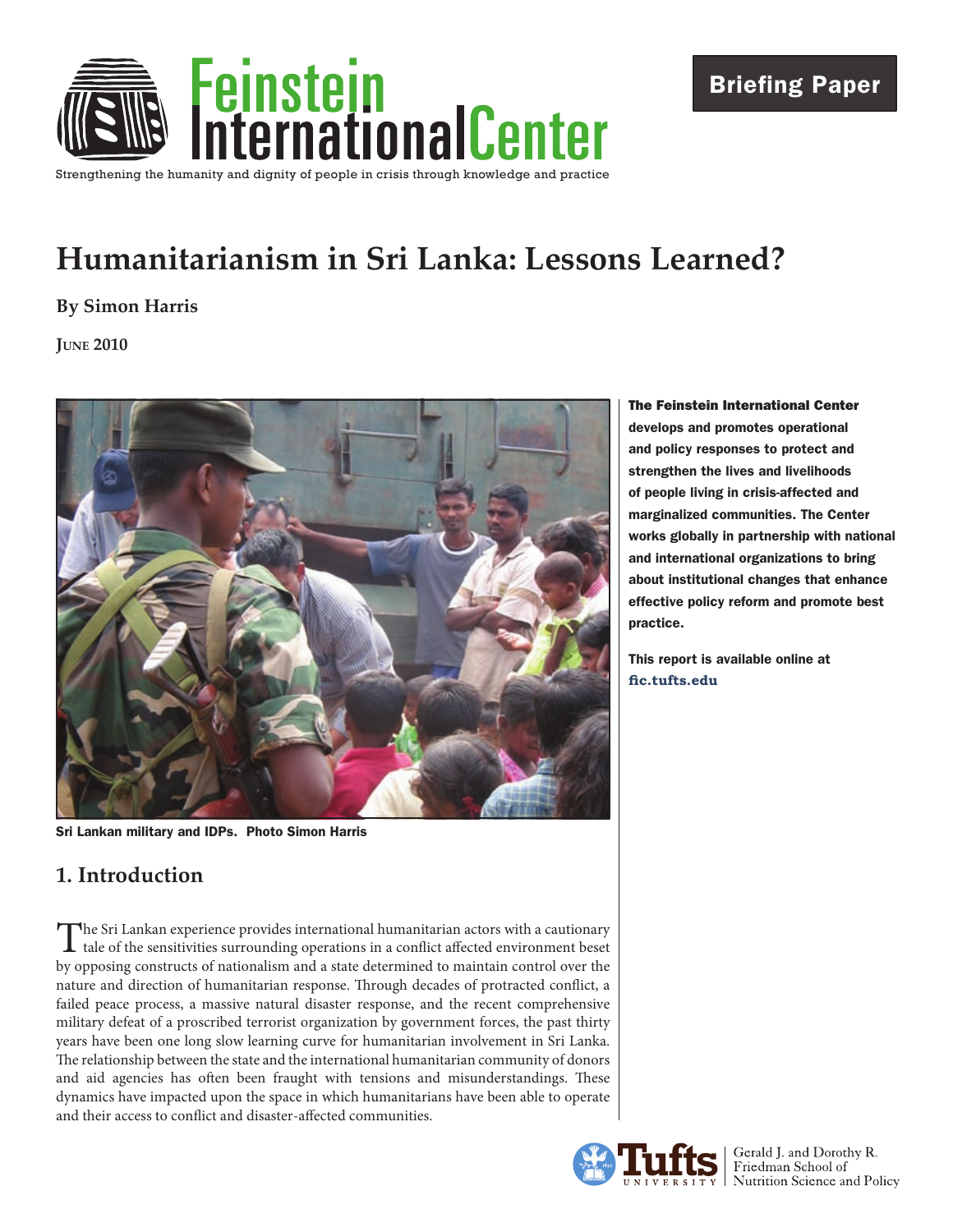

# **Humanitarianism in Sri Lanka: Lessons Learned?**

#### **By Simon Harris**

**June 2010**



Sri Lankan military and IDPs. Photo Simon Harris

# **1. Introduction**

The Sri Lankan experience provides international humanitarian actors with a cautionary<br>tale of the sensitivities surrounding operations in a conflict affected environment beset<br>and the sensitivities of the sensitivities of by opposing constructs of nationalism and a state determined to maintain control over the nature and direction of humanitarian response. Through decades of protracted conflict, a failed peace process, a massive natural disaster response, and the recent comprehensive military defeat of a proscribed terrorist organization by government forces, the past thirty years have been one long slow learning curve for humanitarian involvement in Sri Lanka. The relationship between the state and the international humanitarian community of donors and aid agencies has often been fraught with tensions and misunderstandings. These dynamics have impacted upon the space in which humanitarians have been able to operate and their access to conflict and disaster-affected communities.

The Feinstein International Center develops and promotes operational and policy responses to protect and strengthen the lives and livelihoods of people living in crisis-affected and marginalized communities. The Center works globally in partnership with national and international organizations to bring about institutional changes that enhance effective policy reform and promote best practice.

This report is available online at **[fic.tufts.edu](https://wikis.uit.tufts.edu/confluence/display/FIC/Feinstein+International+Center)**

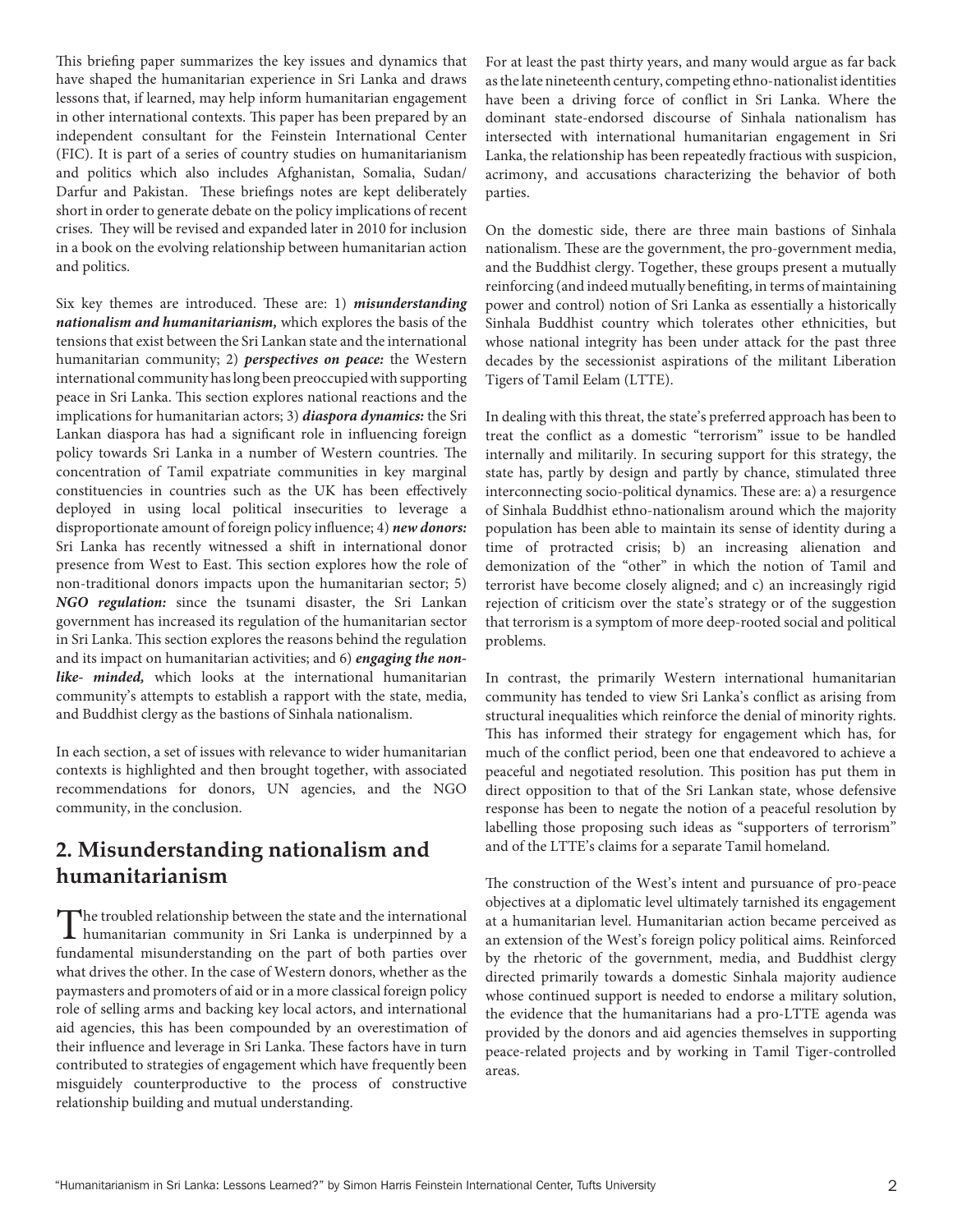This briefing paper summarizes the key issues and dynamics that have shaped the humanitarian experience in Sri Lanka and draws lessons that, if learned, may help inform humanitarian engagement in other international contexts. This paper has been prepared by an independent consultant for the Feinstein International Center (FIC). It is part of a series of country studies on humanitarianism and politics which also includes Afghanistan, Somalia, Sudan/ Darfur and Pakistan. These briefings notes are kept deliberately short in order to generate debate on the policy implications of recent crises. They will be revised and expanded later in 2010 for inclusion in a book on the evolving relationship between humanitarian action and politics.

Six key themes are introduced. These are: 1) *misunderstanding nationalism and humanitarianism,* which explores the basis of the tensions that exist between the Sri Lankan state and the international humanitarian community; 2) *perspectives on peace:* the Western international community has long been preoccupied with supporting peace in Sri Lanka. This section explores national reactions and the implications for humanitarian actors; 3) *diaspora dynamics:* the Sri Lankan diaspora has had a significant role in influencing foreign policy towards Sri Lanka in a number of Western countries. The concentration of Tamil expatriate communities in key marginal constituencies in countries such as the UK has been effectively deployed in using local political insecurities to leverage a disproportionate amount of foreign policy influence; 4) *new donors:* Sri Lanka has recently witnessed a shift in international donor presence from West to East. This section explores how the role of non-traditional donors impacts upon the humanitarian sector; 5) *NGO regulation:* since the tsunami disaster, the Sri Lankan government has increased its regulation of the humanitarian sector in Sri Lanka. This section explores the reasons behind the regulation and its impact on humanitarian activities; and 6) *engaging the nonlike- minded,* which looks at the international humanitarian community's attempts to establish a rapport with the state, media, and Buddhist clergy as the bastions of Sinhala nationalism.

In each section, a set of issues with relevance to wider humanitarian contexts is highlighted and then brought together, with associated recommendations for donors, UN agencies, and the NGO community, in the conclusion.

### **2. Misunderstanding nationalism and humanitarianism**

The troubled relationship between the state and the international  $\blacksquare$  humanitarian community in Sri Lanka is underpinned by a fundamental misunderstanding on the part of both parties over what drives the other. In the case of Western donors, whether as the paymasters and promoters of aid or in a more classical foreign policy role of selling arms and backing key local actors, and international aid agencies, this has been compounded by an overestimation of their influence and leverage in Sri Lanka. These factors have in turn contributed to strategies of engagement which have frequently been misguidely counterproductive to the process of constructive relationship building and mutual understanding.

For at least the past thirty years, and many would argue as far back as the late nineteenth century, competing ethno-nationalist identities have been a driving force of conflict in Sri Lanka. Where the dominant state-endorsed discourse of Sinhala nationalism has intersected with international humanitarian engagement in Sri Lanka, the relationship has been repeatedly fractious with suspicion, acrimony, and accusations characterizing the behavior of both parties.

On the domestic side, there are three main bastions of Sinhala nationalism. These are the government, the pro-government media, and the Buddhist clergy. Together, these groups present a mutually reinforcing (and indeed mutually benefiting, in terms of maintaining power and control) notion of Sri Lanka as essentially a historically Sinhala Buddhist country which tolerates other ethnicities, but whose national integrity has been under attack for the past three decades by the secessionist aspirations of the militant Liberation Tigers of Tamil Eelam (LTTE).

In dealing with this threat, the state's preferred approach has been to treat the conflict as a domestic "terrorism" issue to be handled internally and militarily. In securing support for this strategy, the state has, partly by design and partly by chance, stimulated three interconnecting socio-political dynamics. These are: a) a resurgence of Sinhala Buddhist ethno-nationalism around which the majority population has been able to maintain its sense of identity during a time of protracted crisis; b) an increasing alienation and demonization of the "other" in which the notion of Tamil and terrorist have become closely aligned; and c) an increasingly rigid rejection of criticism over the state's strategy or of the suggestion that terrorism is a symptom of more deep-rooted social and political problems.

In contrast, the primarily Western international humanitarian community has tended to view Sri Lanka's conflict as arising from structural inequalities which reinforce the denial of minority rights. This has informed their strategy for engagement which has, for much of the conflict period, been one that endeavored to achieve a peaceful and negotiated resolution. This position has put them in direct opposition to that of the Sri Lankan state, whose defensive response has been to negate the notion of a peaceful resolution by labelling those proposing such ideas as "supporters of terrorism" and of the LTTE's claims for a separate Tamil homeland.

The construction of the West's intent and pursuance of pro-peace objectives at a diplomatic level ultimately tarnished its engagement at a humanitarian level. Humanitarian action became perceived as an extension of the West's foreign policy political aims. Reinforced by the rhetoric of the government, media, and Buddhist clergy directed primarily towards a domestic Sinhala majority audience whose continued support is needed to endorse a military solution, the evidence that the humanitarians had a pro-LTTE agenda was provided by the donors and aid agencies themselves in supporting peace-related projects and by working in Tamil Tiger-controlled areas.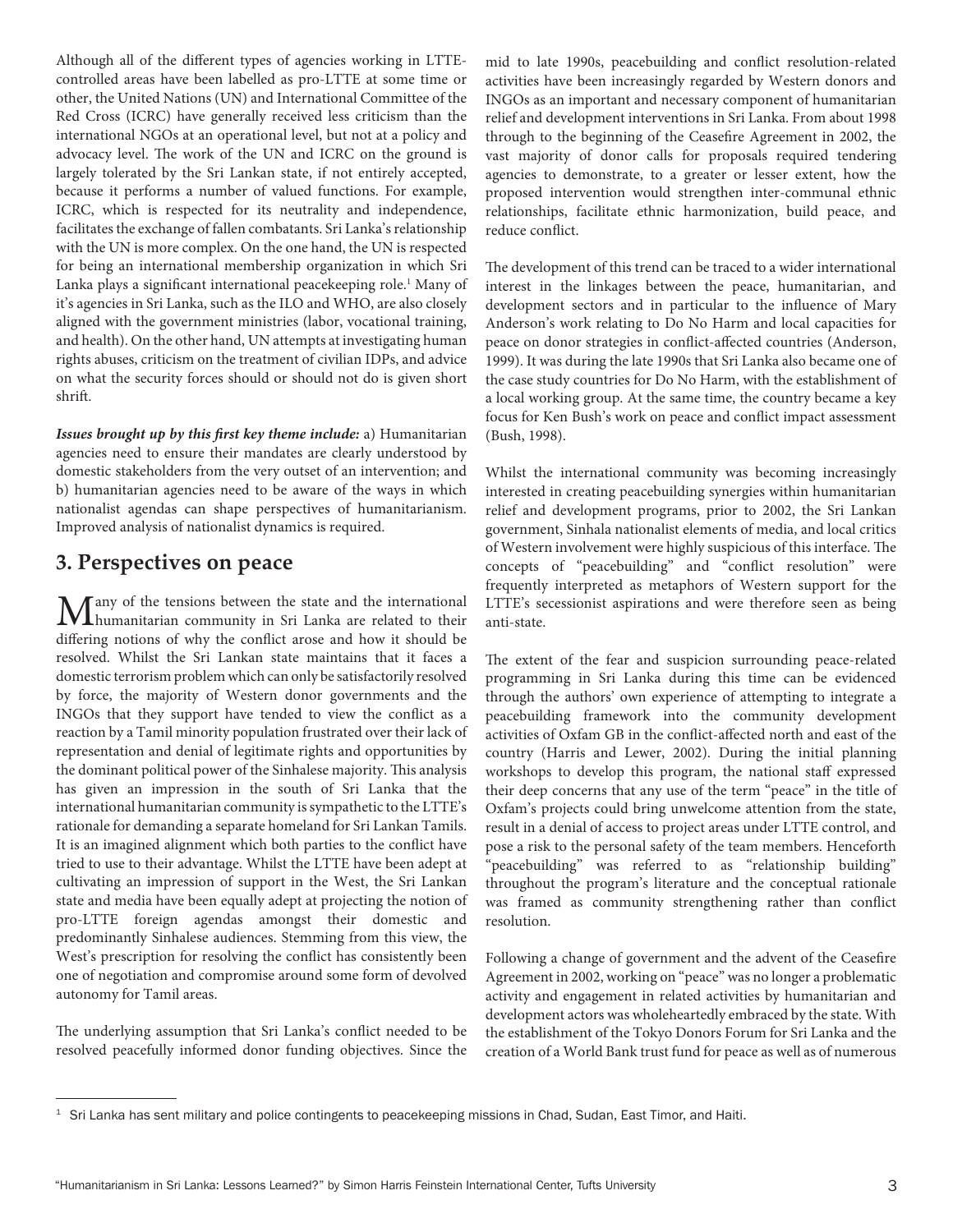Although all of the different types of agencies working in LTTEcontrolled areas have been labelled as pro-LTTE at some time or other, the United Nations (UN) and International Committee of the Red Cross (ICRC) have generally received less criticism than the international NGOs at an operational level, but not at a policy and advocacy level. The work of the UN and ICRC on the ground is largely tolerated by the Sri Lankan state, if not entirely accepted, because it performs a number of valued functions. For example, ICRC, which is respected for its neutrality and independence, facilitates the exchange of fallen combatants. Sri Lanka's relationship with the UN is more complex. On the one hand, the UN is respected for being an international membership organization in which Sri Lanka plays a significant international peacekeeping role.<sup>1</sup> Many of it's agencies in Sri Lanka, such as the ILO and WHO, are also closely aligned with the government ministries (labor, vocational training, and health). On the other hand, UN attempts at investigating human rights abuses, criticism on the treatment of civilian IDPs, and advice on what the security forces should or should not do is given short shrift.

*Issues brought up by this first key theme include:* a) Humanitarian agencies need to ensure their mandates are clearly understood by domestic stakeholders from the very outset of an intervention; and b) humanitarian agencies need to be aware of the ways in which nationalist agendas can shape perspectives of humanitarianism. Improved analysis of nationalist dynamics is required.

#### **3. Perspectives on peace**

**Many** of the tensions between the state and the international humanitarian community in Sri Lanka are related to their differing notions of why the conflict arose and how it should be resolved. Whilst the Sri Lankan state maintains that it faces a domestic terrorism problem which can only be satisfactorily resolved by force, the majority of Western donor governments and the INGOs that they support have tended to view the conflict as a reaction by a Tamil minority population frustrated over their lack of representation and denial of legitimate rights and opportunities by the dominant political power of the Sinhalese majority. This analysis has given an impression in the south of Sri Lanka that the international humanitarian community is sympathetic to the LTTE's rationale for demanding a separate homeland for Sri Lankan Tamils. It is an imagined alignment which both parties to the conflict have tried to use to their advantage. Whilst the LTTE have been adept at cultivating an impression of support in the West, the Sri Lankan state and media have been equally adept at projecting the notion of pro-LTTE foreign agendas amongst their domestic and predominantly Sinhalese audiences. Stemming from this view, the West's prescription for resolving the conflict has consistently been one of negotiation and compromise around some form of devolved autonomy for Tamil areas.

The underlying assumption that Sri Lanka's conflict needed to be resolved peacefully informed donor funding objectives. Since the mid to late 1990s, peacebuilding and conflict resolution-related activities have been increasingly regarded by Western donors and INGOs as an important and necessary component of humanitarian relief and development interventions in Sri Lanka. From about 1998 through to the beginning of the Ceasefire Agreement in 2002, the vast majority of donor calls for proposals required tendering agencies to demonstrate, to a greater or lesser extent, how the proposed intervention would strengthen inter-communal ethnic relationships, facilitate ethnic harmonization, build peace, and reduce conflict.

The development of this trend can be traced to a wider international interest in the linkages between the peace, humanitarian, and development sectors and in particular to the influence of Mary Anderson's work relating to Do No Harm and local capacities for peace on donor strategies in conflict-affected countries (Anderson, 1999). It was during the late 1990s that Sri Lanka also became one of the case study countries for Do No Harm, with the establishment of a local working group. At the same time, the country became a key focus for Ken Bush's work on peace and conflict impact assessment (Bush, 1998).

Whilst the international community was becoming increasingly interested in creating peacebuilding synergies within humanitarian relief and development programs, prior to 2002, the Sri Lankan government, Sinhala nationalist elements of media, and local critics of Western involvement were highly suspicious of this interface. The concepts of "peacebuilding" and "conflict resolution" were frequently interpreted as metaphors of Western support for the LTTE's secessionist aspirations and were therefore seen as being anti-state.

The extent of the fear and suspicion surrounding peace-related programming in Sri Lanka during this time can be evidenced through the authors' own experience of attempting to integrate a peacebuilding framework into the community development activities of Oxfam GB in the conflict-affected north and east of the country (Harris and Lewer, 2002). During the initial planning workshops to develop this program, the national staff expressed their deep concerns that any use of the term "peace" in the title of Oxfam's projects could bring unwelcome attention from the state, result in a denial of access to project areas under LTTE control, and pose a risk to the personal safety of the team members. Henceforth "peacebuilding" was referred to as "relationship building" throughout the program's literature and the conceptual rationale was framed as community strengthening rather than conflict resolution.

Following a change of government and the advent of the Ceasefire Agreement in 2002, working on "peace" was no longer a problematic activity and engagement in related activities by humanitarian and development actors was wholeheartedly embraced by the state. With the establishment of the Tokyo Donors Forum for Sri Lanka and the creation of a World Bank trust fund for peace as well as of numerous

 $1$  Sri Lanka has sent military and police contingents to peacekeeping missions in Chad, Sudan, East Timor, and Haiti.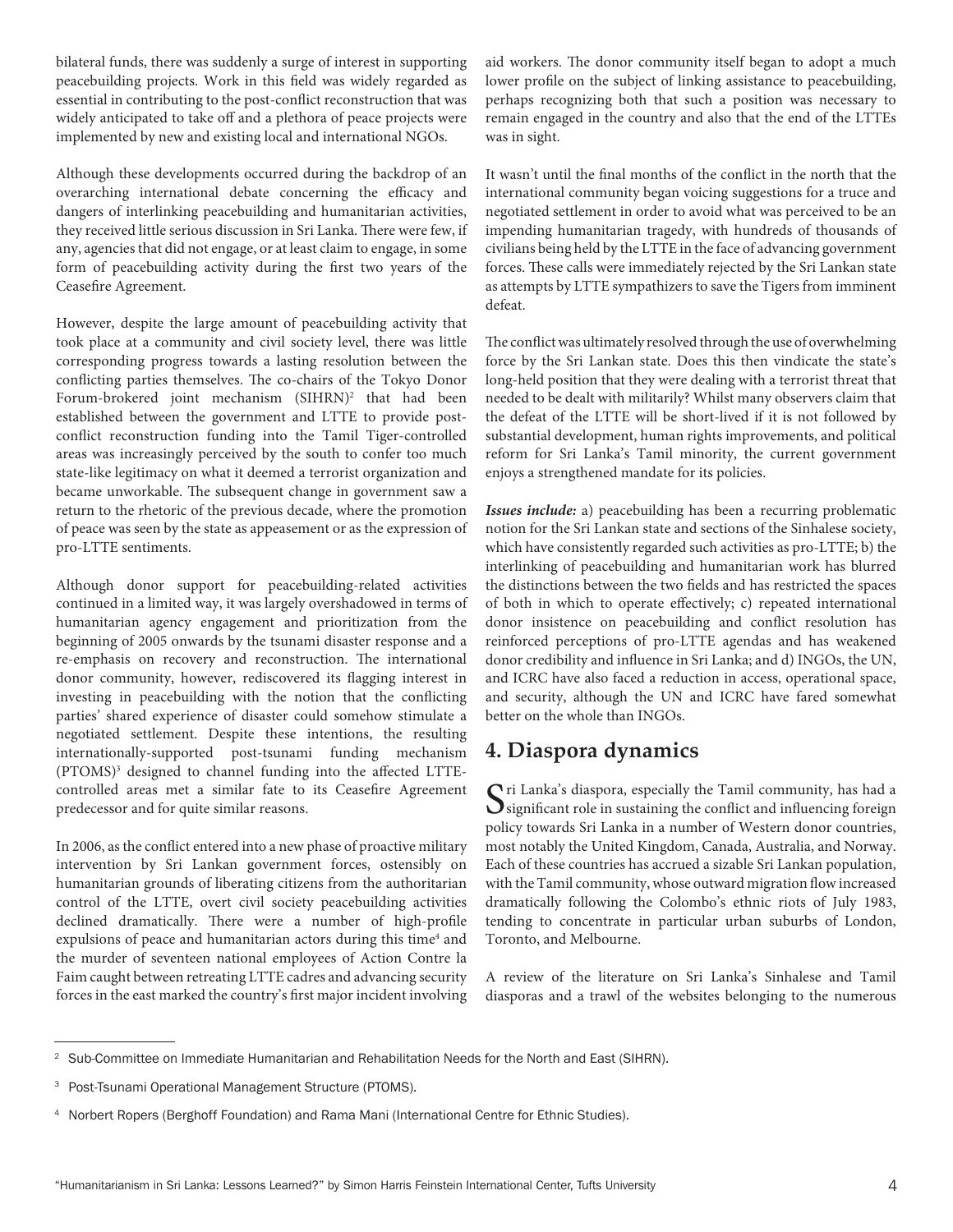bilateral funds, there was suddenly a surge of interest in supporting peacebuilding projects. Work in this field was widely regarded as essential in contributing to the post-conflict reconstruction that was widely anticipated to take off and a plethora of peace projects were implemented by new and existing local and international NGOs.

Although these developments occurred during the backdrop of an overarching international debate concerning the efficacy and dangers of interlinking peacebuilding and humanitarian activities, they received little serious discussion in Sri Lanka. There were few, if any, agencies that did not engage, or at least claim to engage, in some form of peacebuilding activity during the first two years of the Ceasefire Agreement.

However, despite the large amount of peacebuilding activity that took place at a community and civil society level, there was little corresponding progress towards a lasting resolution between the conflicting parties themselves. The co-chairs of the Tokyo Donor Forum-brokered joint mechanism (SIHRN)<sup>2</sup> that had been established between the government and LTTE to provide postconflict reconstruction funding into the Tamil Tiger-controlled areas was increasingly perceived by the south to confer too much state-like legitimacy on what it deemed a terrorist organization and became unworkable. The subsequent change in government saw a return to the rhetoric of the previous decade, where the promotion of peace was seen by the state as appeasement or as the expression of pro-LTTE sentiments.

Although donor support for peacebuilding-related activities continued in a limited way, it was largely overshadowed in terms of humanitarian agency engagement and prioritization from the beginning of 2005 onwards by the tsunami disaster response and a re-emphasis on recovery and reconstruction. The international donor community, however, rediscovered its flagging interest in investing in peacebuilding with the notion that the conflicting parties' shared experience of disaster could somehow stimulate a negotiated settlement. Despite these intentions, the resulting internationally-supported post-tsunami funding mechanism (PTOMS)3 designed to channel funding into the affected LTTEcontrolled areas met a similar fate to its Ceasefire Agreement predecessor and for quite similar reasons.

In 2006, as the conflict entered into a new phase of proactive military intervention by Sri Lankan government forces, ostensibly on humanitarian grounds of liberating citizens from the authoritarian control of the LTTE, overt civil society peacebuilding activities declined dramatically. There were a number of high-profile expulsions of peace and humanitarian actors during this time<sup>4</sup> and the murder of seventeen national employees of Action Contre la Faim caught between retreating LTTE cadres and advancing security forces in the east marked the country's first major incident involving

aid workers. The donor community itself began to adopt a much lower profile on the subject of linking assistance to peacebuilding, perhaps recognizing both that such a position was necessary to remain engaged in the country and also that the end of the LTTEs was in sight.

It wasn't until the final months of the conflict in the north that the international community began voicing suggestions for a truce and negotiated settlement in order to avoid what was perceived to be an impending humanitarian tragedy, with hundreds of thousands of civilians being held by the LTTE in the face of advancing government forces. These calls were immediately rejected by the Sri Lankan state as attempts by LTTE sympathizers to save the Tigers from imminent defeat.

The conflict was ultimately resolved through the use of overwhelming force by the Sri Lankan state. Does this then vindicate the state's long-held position that they were dealing with a terrorist threat that needed to be dealt with militarily? Whilst many observers claim that the defeat of the LTTE will be short-lived if it is not followed by substantial development, human rights improvements, and political reform for Sri Lanka's Tamil minority, the current government enjoys a strengthened mandate for its policies.

*Issues include:* a) peacebuilding has been a recurring problematic notion for the Sri Lankan state and sections of the Sinhalese society, which have consistently regarded such activities as pro-LTTE; b) the interlinking of peacebuilding and humanitarian work has blurred the distinctions between the two fields and has restricted the spaces of both in which to operate effectively; c) repeated international donor insistence on peacebuilding and conflict resolution has reinforced perceptions of pro-LTTE agendas and has weakened donor credibility and influence in Sri Lanka; and d) INGOs, the UN, and ICRC have also faced a reduction in access, operational space, and security, although the UN and ICRC have fared somewhat better on the whole than INGOs.

#### **4. Diaspora dynamics**

 $\bigcap$ ri Lanka's diaspora, especially the Tamil community, has had a  $\mathbf{\mathcal{S}}$  significant role in sustaining the conflict and influencing foreign policy towards Sri Lanka in a number of Western donor countries, most notably the United Kingdom, Canada, Australia, and Norway. Each of these countries has accrued a sizable Sri Lankan population, with the Tamil community, whose outward migration flow increased dramatically following the Colombo's ethnic riots of July 1983, tending to concentrate in particular urban suburbs of London, Toronto, and Melbourne.

A review of the literature on Sri Lanka's Sinhalese and Tamil diasporas and a trawl of the websites belonging to the numerous

<sup>&</sup>lt;sup>2</sup> Sub-Committee on Immediate Humanitarian and Rehabilitation Needs for the North and East (SIHRN).

<sup>3</sup> Post-Tsunami Operational Management Structure (PTOMS).

<sup>4</sup> Norbert Ropers (Berghoff Foundation) and Rama Mani (International Centre for Ethnic Studies).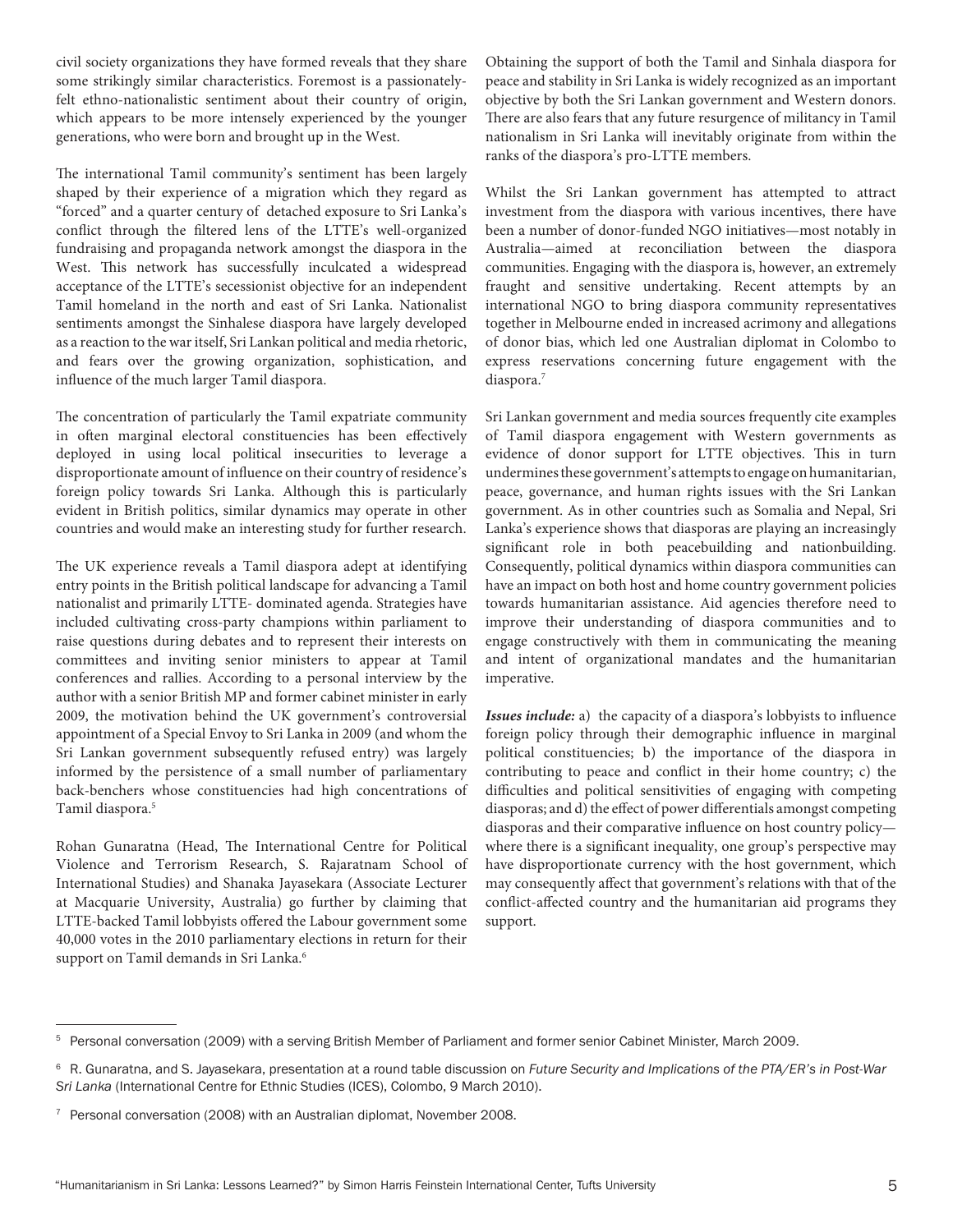civil society organizations they have formed reveals that they share some strikingly similar characteristics. Foremost is a passionatelyfelt ethno-nationalistic sentiment about their country of origin, which appears to be more intensely experienced by the younger generations, who were born and brought up in the West.

The international Tamil community's sentiment has been largely shaped by their experience of a migration which they regard as "forced" and a quarter century of detached exposure to Sri Lanka's conflict through the filtered lens of the LTTE's well-organized fundraising and propaganda network amongst the diaspora in the West. This network has successfully inculcated a widespread acceptance of the LTTE's secessionist objective for an independent Tamil homeland in the north and east of Sri Lanka. Nationalist sentiments amongst the Sinhalese diaspora have largely developed as a reaction to the war itself, Sri Lankan political and media rhetoric, and fears over the growing organization, sophistication, and influence of the much larger Tamil diaspora.

The concentration of particularly the Tamil expatriate community in often marginal electoral constituencies has been effectively deployed in using local political insecurities to leverage a disproportionate amount of influence on their country of residence's foreign policy towards Sri Lanka. Although this is particularly evident in British politics, similar dynamics may operate in other countries and would make an interesting study for further research.

The UK experience reveals a Tamil diaspora adept at identifying entry points in the British political landscape for advancing a Tamil nationalist and primarily LTTE- dominated agenda. Strategies have included cultivating cross-party champions within parliament to raise questions during debates and to represent their interests on committees and inviting senior ministers to appear at Tamil conferences and rallies. According to a personal interview by the author with a senior British MP and former cabinet minister in early 2009, the motivation behind the UK government's controversial appointment of a Special Envoy to Sri Lanka in 2009 (and whom the Sri Lankan government subsequently refused entry) was largely informed by the persistence of a small number of parliamentary back-benchers whose constituencies had high concentrations of Tamil diaspora.5

Rohan Gunaratna (Head, The International Centre for Political Violence and Terrorism Research, S. Rajaratnam School of International Studies) and Shanaka Jayasekara (Associate Lecturer at Macquarie University, Australia) go further by claiming that LTTE-backed Tamil lobbyists offered the Labour government some 40,000 votes in the 2010 parliamentary elections in return for their support on Tamil demands in Sri Lanka.<sup>6</sup>

Obtaining the support of both the Tamil and Sinhala diaspora for peace and stability in Sri Lanka is widely recognized as an important objective by both the Sri Lankan government and Western donors. There are also fears that any future resurgence of militancy in Tamil nationalism in Sri Lanka will inevitably originate from within the ranks of the diaspora's pro-LTTE members.

Whilst the Sri Lankan government has attempted to attract investment from the diaspora with various incentives, there have been a number of donor-funded NGO initiatives—most notably in Australia—aimed at reconciliation between the diaspora communities. Engaging with the diaspora is, however, an extremely fraught and sensitive undertaking. Recent attempts by an international NGO to bring diaspora community representatives together in Melbourne ended in increased acrimony and allegations of donor bias, which led one Australian diplomat in Colombo to express reservations concerning future engagement with the diaspora.7

Sri Lankan government and media sources frequently cite examples of Tamil diaspora engagement with Western governments as evidence of donor support for LTTE objectives. This in turn undermines these government's attempts to engage on humanitarian, peace, governance, and human rights issues with the Sri Lankan government. As in other countries such as Somalia and Nepal, Sri Lanka's experience shows that diasporas are playing an increasingly significant role in both peacebuilding and nationbuilding. Consequently, political dynamics within diaspora communities can have an impact on both host and home country government policies towards humanitarian assistance. Aid agencies therefore need to improve their understanding of diaspora communities and to engage constructively with them in communicating the meaning and intent of organizational mandates and the humanitarian imperative.

*Issues include:* a) the capacity of a diaspora's lobbyists to influence foreign policy through their demographic influence in marginal political constituencies; b) the importance of the diaspora in contributing to peace and conflict in their home country; c) the difficulties and political sensitivities of engaging with competing diasporas; and d) the effect of power differentials amongst competing diasporas and their comparative influence on host country policy where there is a significant inequality, one group's perspective may have disproportionate currency with the host government, which may consequently affect that government's relations with that of the conflict-affected country and the humanitarian aid programs they support.

<sup>5</sup> Personal conversation (2009) with a serving British Member of Parliament and former senior Cabinet Minister, March 2009.

<sup>6</sup> R. Gunaratna, and S. Jayasekara, presentation at a round table discussion on *Future Security and Implications of the PTA/ER's in Post-War Sri Lanka* (International Centre for Ethnic Studies (ICES), Colombo, 9 March 2010).

<sup>&</sup>lt;sup>7</sup> Personal conversation (2008) with an Australian diplomat, November 2008.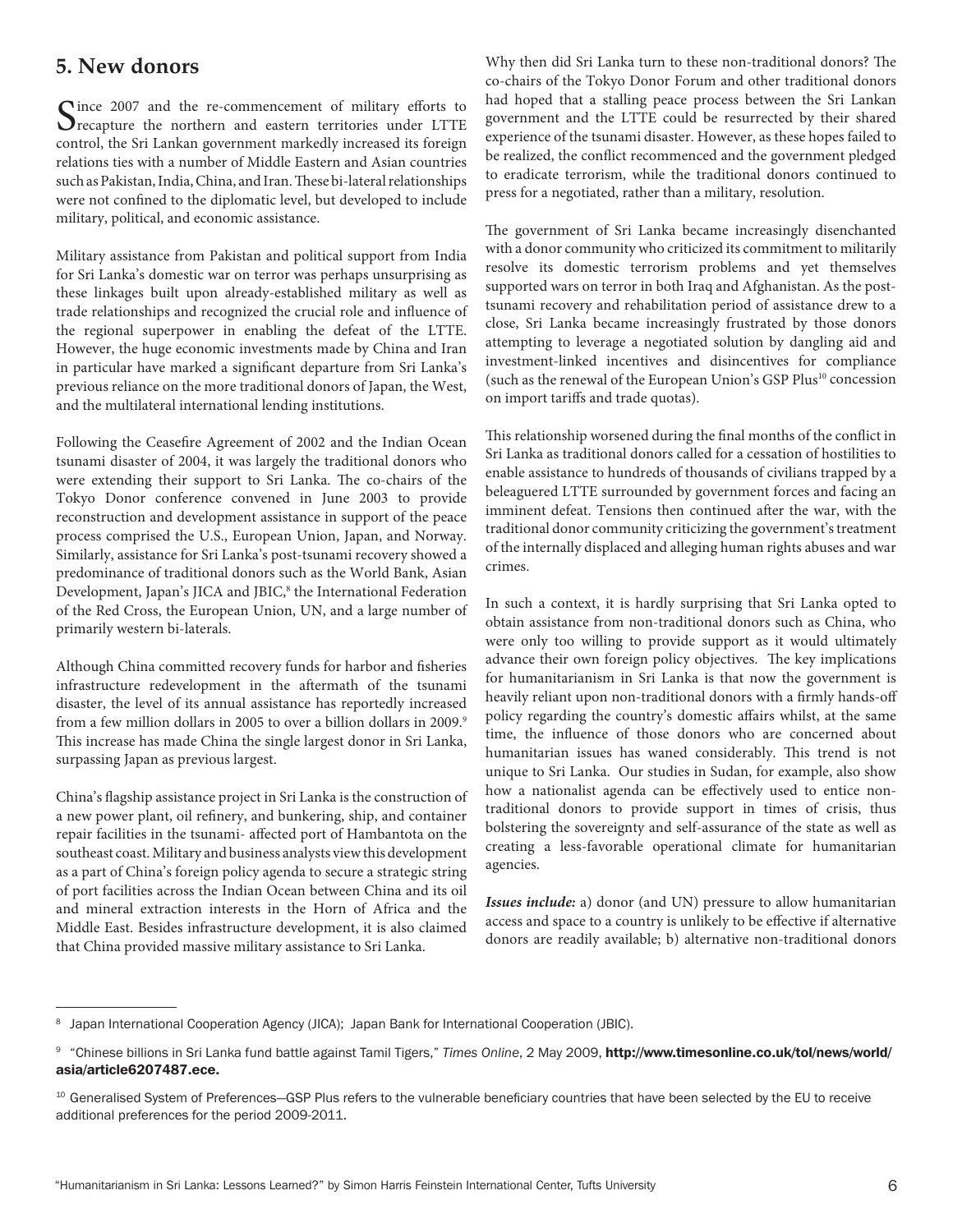#### **5. New donors**

Since 2007 and the re-commencement of military efforts to recapture the northern and eastern territories under LTTE control, the Sri Lankan government markedly increased its foreign relations ties with a number of Middle Eastern and Asian countries such as Pakistan, India, China, and Iran. These bi-lateral relationships were not confined to the diplomatic level, but developed to include military, political, and economic assistance.

Military assistance from Pakistan and political support from India for Sri Lanka's domestic war on terror was perhaps unsurprising as these linkages built upon already-established military as well as trade relationships and recognized the crucial role and influence of the regional superpower in enabling the defeat of the LTTE. However, the huge economic investments made by China and Iran in particular have marked a significant departure from Sri Lanka's previous reliance on the more traditional donors of Japan, the West, and the multilateral international lending institutions.

Following the Ceasefire Agreement of 2002 and the Indian Ocean tsunami disaster of 2004, it was largely the traditional donors who were extending their support to Sri Lanka. The co-chairs of the Tokyo Donor conference convened in June 2003 to provide reconstruction and development assistance in support of the peace process comprised the U.S., European Union, Japan, and Norway. Similarly, assistance for Sri Lanka's post-tsunami recovery showed a predominance of traditional donors such as the World Bank, Asian Development, Japan's JICA and JBIC,<sup>8</sup> the International Federation of the Red Cross, the European Union, UN, and a large number of primarily western bi-laterals.

Although China committed recovery funds for harbor and fisheries infrastructure redevelopment in the aftermath of the tsunami disaster, the level of its annual assistance has reportedly increased from a few million dollars in 2005 to over a billion dollars in 2009.<sup>9</sup> This increase has made China the single largest donor in Sri Lanka, surpassing Japan as previous largest.

China's flagship assistance project in Sri Lanka is the construction of a new power plant, oil refinery, and bunkering, ship, and container repair facilities in the tsunami- affected port of Hambantota on the southeast coast. Military and business analysts view this development as a part of China's foreign policy agenda to secure a strategic string of port facilities across the Indian Ocean between China and its oil and mineral extraction interests in the Horn of Africa and the Middle East. Besides infrastructure development, it is also claimed that China provided massive military assistance to Sri Lanka.

Why then did Sri Lanka turn to these non-traditional donors? The co-chairs of the Tokyo Donor Forum and other traditional donors had hoped that a stalling peace process between the Sri Lankan government and the LTTE could be resurrected by their shared experience of the tsunami disaster. However, as these hopes failed to be realized, the conflict recommenced and the government pledged to eradicate terrorism, while the traditional donors continued to press for a negotiated, rather than a military, resolution.

The government of Sri Lanka became increasingly disenchanted with a donor community who criticized its commitment to militarily resolve its domestic terrorism problems and yet themselves supported wars on terror in both Iraq and Afghanistan. As the posttsunami recovery and rehabilitation period of assistance drew to a close, Sri Lanka became increasingly frustrated by those donors attempting to leverage a negotiated solution by dangling aid and investment-linked incentives and disincentives for compliance (such as the renewal of the European Union's GSP Plus<sup>10</sup> concession on import tariffs and trade quotas).

This relationship worsened during the final months of the conflict in Sri Lanka as traditional donors called for a cessation of hostilities to enable assistance to hundreds of thousands of civilians trapped by a beleaguered LTTE surrounded by government forces and facing an imminent defeat. Tensions then continued after the war, with the traditional donor community criticizing the government's treatment of the internally displaced and alleging human rights abuses and war crimes.

In such a context, it is hardly surprising that Sri Lanka opted to obtain assistance from non-traditional donors such as China, who were only too willing to provide support as it would ultimately advance their own foreign policy objectives. The key implications for humanitarianism in Sri Lanka is that now the government is heavily reliant upon non-traditional donors with a firmly hands-off policy regarding the country's domestic affairs whilst, at the same time, the influence of those donors who are concerned about humanitarian issues has waned considerably. This trend is not unique to Sri Lanka. Our studies in Sudan, for example, also show how a nationalist agenda can be effectively used to entice nontraditional donors to provide support in times of crisis, thus bolstering the sovereignty and self-assurance of the state as well as creating a less-favorable operational climate for humanitarian agencies.

*Issues include:* a) donor (and UN) pressure to allow humanitarian access and space to a country is unlikely to be effective if alternative donors are readily available; b) alternative non-traditional donors

<sup>&</sup>lt;sup>8</sup> Japan International Cooperation Agency (JICA); Japan Bank for International Cooperation (JBIC).

<sup>9</sup> ["Chinese billions in Sri Lanka fund battle against Tamil Tigers,"](http://www.timesonline.co.uk/tol/news/world/asia/article6207487.ece) *Times Online*, 2 May 2009, http://www.timesonline.co.uk/tol/news/world/ asia/article6207487.ece.

<sup>&</sup>lt;sup>10</sup> Generalised System of Preferences–GSP Plus refers to the vulnerable beneficiary countries that have been selected by the EU to receive additional preferences for the period 2009-2011.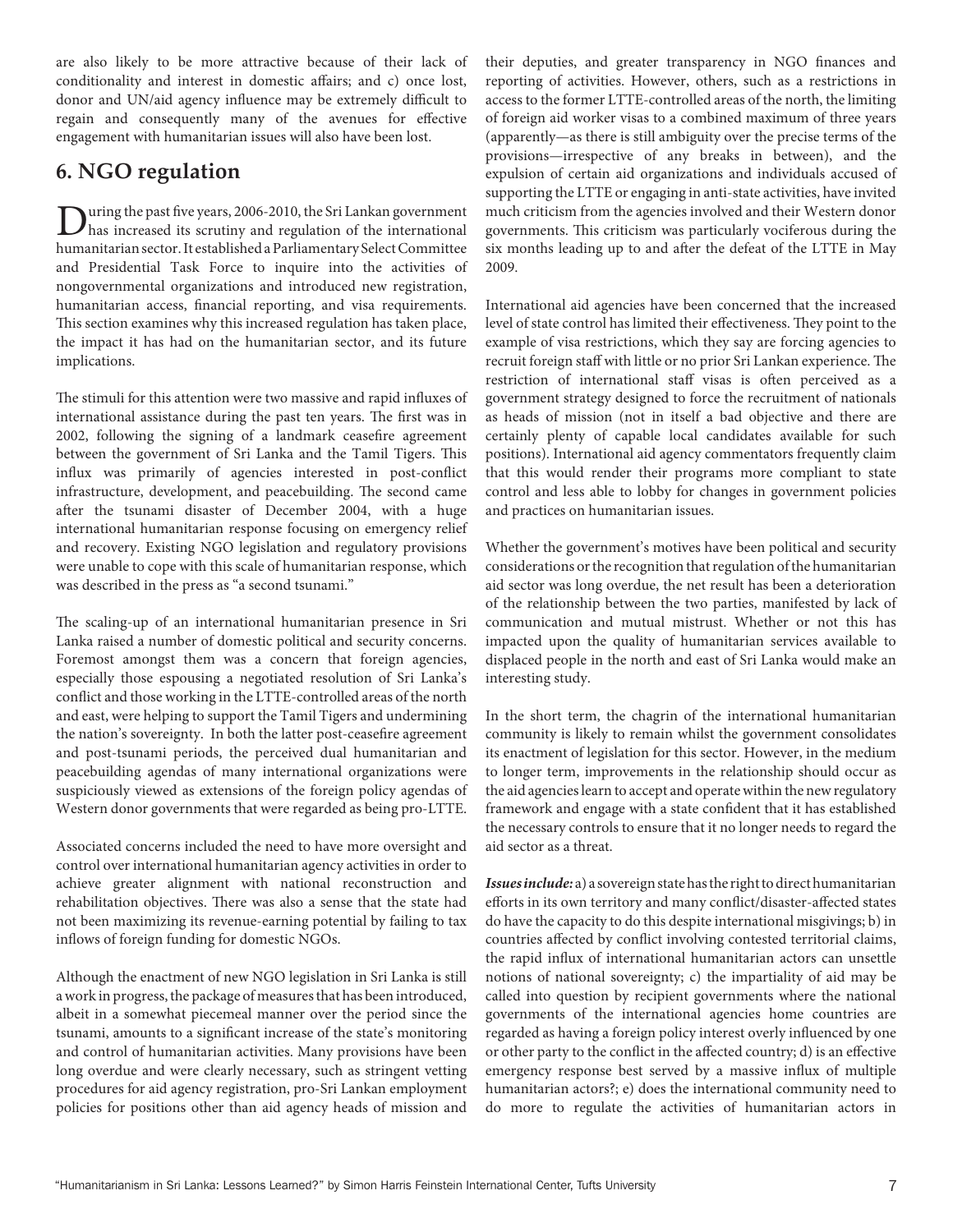are also likely to be more attractive because of their lack of conditionality and interest in domestic affairs; and c) once lost, donor and UN/aid agency influence may be extremely difficult to regain and consequently many of the avenues for effective engagement with humanitarian issues will also have been lost.

### **6. NGO regulation**

During the past five years, 2006-2010, the Sri Lankan government<br>has increased its scrutiny and regulation of the international humanitarian sector. It established a Parliamentary Select Committee and Presidential Task Force to inquire into the activities of nongovernmental organizations and introduced new registration, humanitarian access, financial reporting, and visa requirements. This section examines why this increased regulation has taken place, the impact it has had on the humanitarian sector, and its future implications.

The stimuli for this attention were two massive and rapid influxes of international assistance during the past ten years. The first was in 2002, following the signing of a landmark ceasefire agreement between the government of Sri Lanka and the Tamil Tigers. This influx was primarily of agencies interested in post-conflict infrastructure, development, and peacebuilding. The second came after the tsunami disaster of December 2004, with a huge international humanitarian response focusing on emergency relief and recovery. Existing NGO legislation and regulatory provisions were unable to cope with this scale of humanitarian response, which was described in the press as "a second tsunami."

The scaling-up of an international humanitarian presence in Sri Lanka raised a number of domestic political and security concerns. Foremost amongst them was a concern that foreign agencies, especially those espousing a negotiated resolution of Sri Lanka's conflict and those working in the LTTE-controlled areas of the north and east, were helping to support the Tamil Tigers and undermining the nation's sovereignty. In both the latter post-ceasefire agreement and post-tsunami periods, the perceived dual humanitarian and peacebuilding agendas of many international organizations were suspiciously viewed as extensions of the foreign policy agendas of Western donor governments that were regarded as being pro-LTTE.

Associated concerns included the need to have more oversight and control over international humanitarian agency activities in order to achieve greater alignment with national reconstruction and rehabilitation objectives. There was also a sense that the state had not been maximizing its revenue-earning potential by failing to tax inflows of foreign funding for domestic NGOs.

Although the enactment of new NGO legislation in Sri Lanka is still a work in progress, the package of measures that has been introduced, albeit in a somewhat piecemeal manner over the period since the tsunami, amounts to a significant increase of the state's monitoring and control of humanitarian activities. Many provisions have been long overdue and were clearly necessary, such as stringent vetting procedures for aid agency registration, pro-Sri Lankan employment policies for positions other than aid agency heads of mission and

their deputies, and greater transparency in NGO finances and reporting of activities. However, others, such as a restrictions in access to the former LTTE-controlled areas of the north, the limiting of foreign aid worker visas to a combined maximum of three years (apparently—as there is still ambiguity over the precise terms of the provisions—irrespective of any breaks in between), and the expulsion of certain aid organizations and individuals accused of supporting the LTTE or engaging in anti-state activities, have invited much criticism from the agencies involved and their Western donor governments. This criticism was particularly vociferous during the six months leading up to and after the defeat of the LTTE in May 2009.

International aid agencies have been concerned that the increased level of state control has limited their effectiveness. They point to the example of visa restrictions, which they say are forcing agencies to recruit foreign staff with little or no prior Sri Lankan experience. The restriction of international staff visas is often perceived as a government strategy designed to force the recruitment of nationals as heads of mission (not in itself a bad objective and there are certainly plenty of capable local candidates available for such positions). International aid agency commentators frequently claim that this would render their programs more compliant to state control and less able to lobby for changes in government policies and practices on humanitarian issues.

Whether the government's motives have been political and security considerations or the recognition that regulation of the humanitarian aid sector was long overdue, the net result has been a deterioration of the relationship between the two parties, manifested by lack of communication and mutual mistrust. Whether or not this has impacted upon the quality of humanitarian services available to displaced people in the north and east of Sri Lanka would make an interesting study.

In the short term, the chagrin of the international humanitarian community is likely to remain whilst the government consolidates its enactment of legislation for this sector. However, in the medium to longer term, improvements in the relationship should occur as the aid agencies learn to accept and operate within the new regulatory framework and engage with a state confident that it has established the necessary controls to ensure that it no longer needs to regard the aid sector as a threat.

*Issues include:* a) a sovereign state has the right to direct humanitarian efforts in its own territory and many conflict/disaster-affected states do have the capacity to do this despite international misgivings; b) in countries affected by conflict involving contested territorial claims, the rapid influx of international humanitarian actors can unsettle notions of national sovereignty; c) the impartiality of aid may be called into question by recipient governments where the national governments of the international agencies home countries are regarded as having a foreign policy interest overly influenced by one or other party to the conflict in the affected country; d) is an effective emergency response best served by a massive influx of multiple humanitarian actors?; e) does the international community need to do more to regulate the activities of humanitarian actors in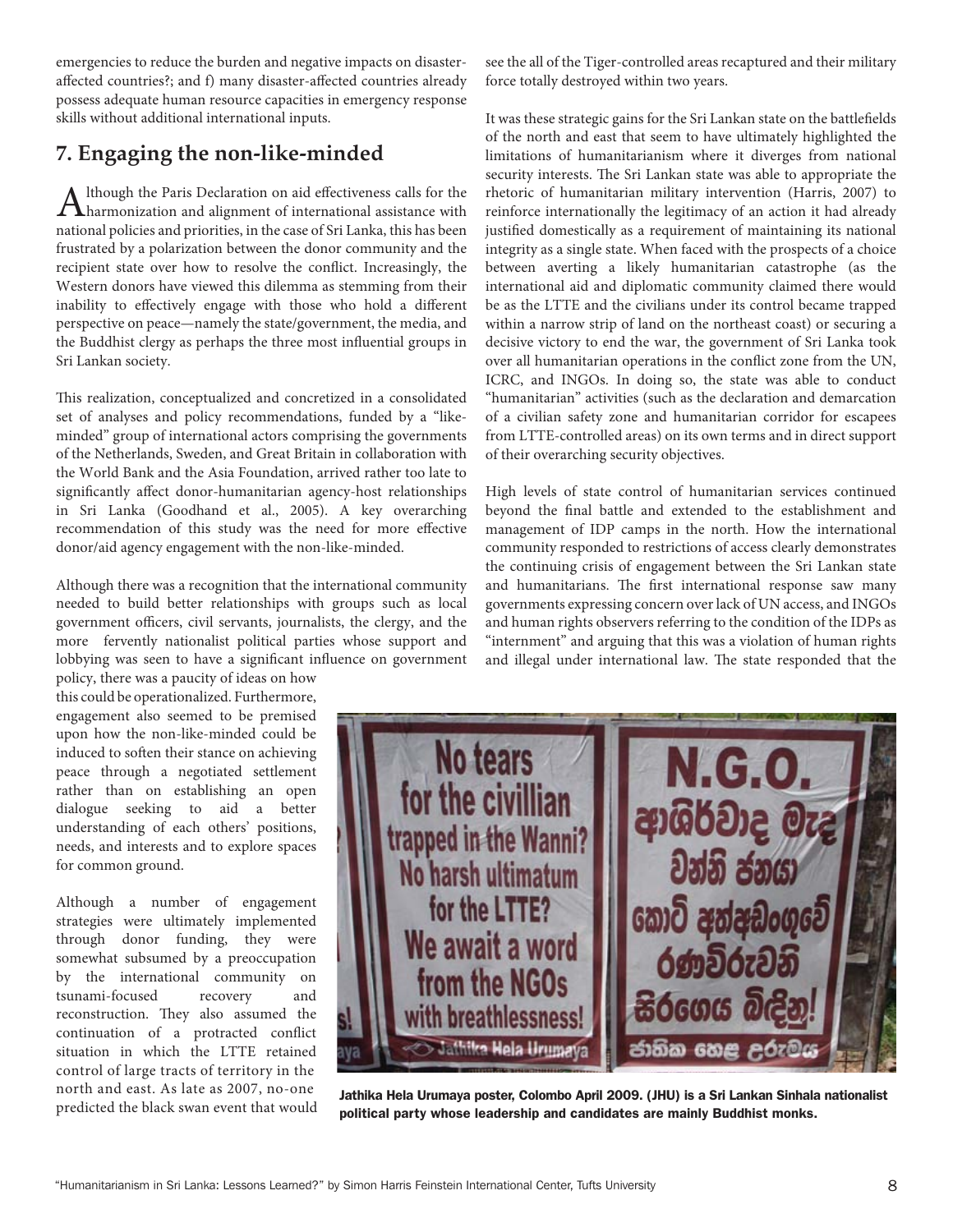emergencies to reduce the burden and negative impacts on disasteraffected countries?; and f) many disaster-affected countries already possess adequate human resource capacities in emergency response skills without additional international inputs.

# **7. Engaging the non-like-minded**

Although the Paris Declaration on aid effectiveness calls for the harmonization and alignment of international assistance with national policies and priorities, in the case of Sri Lanka, this has been frustrated by a polarization between the donor community and the recipient state over how to resolve the conflict. Increasingly, the Western donors have viewed this dilemma as stemming from their inability to effectively engage with those who hold a different perspective on peace—namely the state/government, the media, and the Buddhist clergy as perhaps the three most influential groups in Sri Lankan society.

This realization, conceptualized and concretized in a consolidated set of analyses and policy recommendations, funded by a "likeminded" group of international actors comprising the governments of the Netherlands, Sweden, and Great Britain in collaboration with the World Bank and the Asia Foundation, arrived rather too late to significantly affect donor-humanitarian agency-host relationships in Sri Lanka (Goodhand et al., 2005). A key overarching recommendation of this study was the need for more effective donor/aid agency engagement with the non-like-minded.

Although there was a recognition that the international community needed to build better relationships with groups such as local government officers, civil servants, journalists, the clergy, and the more fervently nationalist political parties whose support and lobbying was seen to have a significant influence on government

policy, there was a paucity of ideas on how this could be operationalized. Furthermore, engagement also seemed to be premised upon how the non-like-minded could be induced to soften their stance on achieving peace through a negotiated settlement rather than on establishing an open dialogue seeking to aid a better understanding of each others' positions, needs, and interests and to explore spaces for common ground.

Although a number of engagement strategies were ultimately implemented through donor funding, they were somewhat subsumed by a preoccupation by the international community on tsunami-focused recovery and reconstruction. They also assumed the continuation of a protracted conflict situation in which the LTTE retained control of large tracts of territory in the north and east. As late as 2007, no-one predicted the black swan event that would see the all of the Tiger-controlled areas recaptured and their military force totally destroyed within two years.

It was these strategic gains for the Sri Lankan state on the battlefields of the north and east that seem to have ultimately highlighted the limitations of humanitarianism where it diverges from national security interests. The Sri Lankan state was able to appropriate the rhetoric of humanitarian military intervention (Harris, 2007) to reinforce internationally the legitimacy of an action it had already justified domestically as a requirement of maintaining its national integrity as a single state. When faced with the prospects of a choice between averting a likely humanitarian catastrophe (as the international aid and diplomatic community claimed there would be as the LTTE and the civilians under its control became trapped within a narrow strip of land on the northeast coast) or securing a decisive victory to end the war, the government of Sri Lanka took over all humanitarian operations in the conflict zone from the UN, ICRC, and INGOs. In doing so, the state was able to conduct "humanitarian" activities (such as the declaration and demarcation of a civilian safety zone and humanitarian corridor for escapees from LTTE-controlled areas) on its own terms and in direct support of their overarching security objectives.

High levels of state control of humanitarian services continued beyond the final battle and extended to the establishment and management of IDP camps in the north. How the international community responded to restrictions of access clearly demonstrates the continuing crisis of engagement between the Sri Lankan state and humanitarians. The first international response saw many governments expressing concern over lack of UN access, and INGOs and human rights observers referring to the condition of the IDPs as "internment" and arguing that this was a violation of human rights and illegal under international law. The state responded that the



Jathika Hela Urumaya poster, Colombo April 2009. (JHU) is a Sri Lankan Sinhala nationalist political party whose leadership and candidates are mainly Buddhist monks.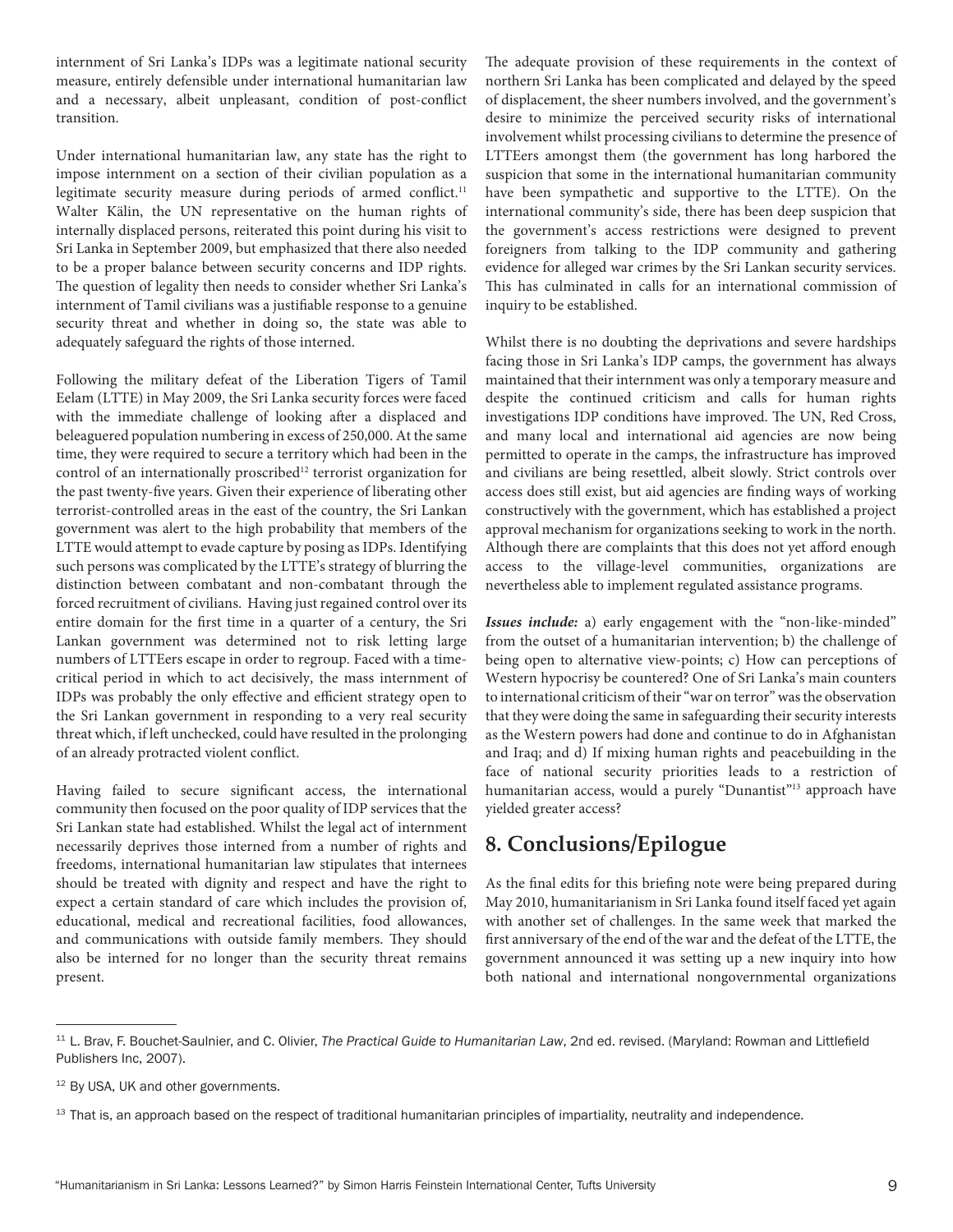internment of Sri Lanka's IDPs was a legitimate national security measure, entirely defensible under international humanitarian law and a necessary, albeit unpleasant, condition of post-conflict transition.

Under international humanitarian law, any state has the right to impose internment on a section of their civilian population as a legitimate security measure during periods of armed conflict.<sup>11</sup> Walter Kälin, the UN representative on the human rights of internally displaced persons, reiterated this point during his visit to Sri Lanka in September 2009, but emphasized that there also needed to be a proper balance between security concerns and IDP rights. The question of legality then needs to consider whether Sri Lanka's internment of Tamil civilians was a justifiable response to a genuine security threat and whether in doing so, the state was able to adequately safeguard the rights of those interned.

Following the military defeat of the Liberation Tigers of Tamil Eelam (LTTE) in May 2009, the Sri Lanka security forces were faced with the immediate challenge of looking after a displaced and beleaguered population numbering in excess of 250,000. At the same time, they were required to secure a territory which had been in the control of an internationally proscribed<sup>12</sup> terrorist organization for the past twenty-five years. Given their experience of liberating other terrorist-controlled areas in the east of the country, the Sri Lankan government was alert to the high probability that members of the LTTE would attempt to evade capture by posing as IDPs. Identifying such persons was complicated by the LTTE's strategy of blurring the distinction between combatant and non-combatant through the forced recruitment of civilians. Having just regained control over its entire domain for the first time in a quarter of a century, the Sri Lankan government was determined not to risk letting large numbers of LTTEers escape in order to regroup. Faced with a timecritical period in which to act decisively, the mass internment of IDPs was probably the only effective and efficient strategy open to the Sri Lankan government in responding to a very real security threat which, if left unchecked, could have resulted in the prolonging of an already protracted violent conflict.

Having failed to secure significant access, the international community then focused on the poor quality of IDP services that the Sri Lankan state had established. Whilst the legal act of internment necessarily deprives those interned from a number of rights and freedoms, international humanitarian law stipulates that internees should be treated with dignity and respect and have the right to expect a certain standard of care which includes the provision of, educational, medical and recreational facilities, food allowances, and communications with outside family members. They should also be interned for no longer than the security threat remains present.

The adequate provision of these requirements in the context of northern Sri Lanka has been complicated and delayed by the speed of displacement, the sheer numbers involved, and the government's desire to minimize the perceived security risks of international involvement whilst processing civilians to determine the presence of LTTEers amongst them (the government has long harbored the suspicion that some in the international humanitarian community have been sympathetic and supportive to the LTTE). On the international community's side, there has been deep suspicion that the government's access restrictions were designed to prevent foreigners from talking to the IDP community and gathering evidence for alleged war crimes by the Sri Lankan security services. This has culminated in calls for an international commission of inquiry to be established.

Whilst there is no doubting the deprivations and severe hardships facing those in Sri Lanka's IDP camps, the government has always maintained that their internment was only a temporary measure and despite the continued criticism and calls for human rights investigations IDP conditions have improved. The UN, Red Cross, and many local and international aid agencies are now being permitted to operate in the camps, the infrastructure has improved and civilians are being resettled, albeit slowly. Strict controls over access does still exist, but aid agencies are finding ways of working constructively with the government, which has established a project approval mechanism for organizations seeking to work in the north. Although there are complaints that this does not yet afford enough access to the village-level communities, organizations are nevertheless able to implement regulated assistance programs.

*Issues include:* a) early engagement with the "non-like-minded" from the outset of a humanitarian intervention; b) the challenge of being open to alternative view-points; c) How can perceptions of Western hypocrisy be countered? One of Sri Lanka's main counters to international criticism of their "war on terror" was the observation that they were doing the same in safeguarding their security interests as the Western powers had done and continue to do in Afghanistan and Iraq; and d) If mixing human rights and peacebuilding in the face of national security priorities leads to a restriction of humanitarian access, would a purely "Dunantist"<sup>13</sup> approach have yielded greater access?

## **8. Conclusions/Epilogue**

As the final edits for this briefing note were being prepared during May 2010, humanitarianism in Sri Lanka found itself faced yet again with another set of challenges. In the same week that marked the first anniversary of the end of the war and the defeat of the LTTE, the government announced it was setting up a new inquiry into how both national and international nongovernmental organizations

<sup>11</sup> L. Brav, F. Bouchet-Saulnier, and C. Olivier, *The Practical Guide to Humanitarian Law*, 2nd ed. revised. (Maryland: Rowman and Littlefield Publishers Inc, 2007).

<sup>&</sup>lt;sup>12</sup> By USA, UK and other governments.

<sup>&</sup>lt;sup>13</sup> That is, an approach based on the respect of traditional humanitarian principles of impartiality, neutrality and independence.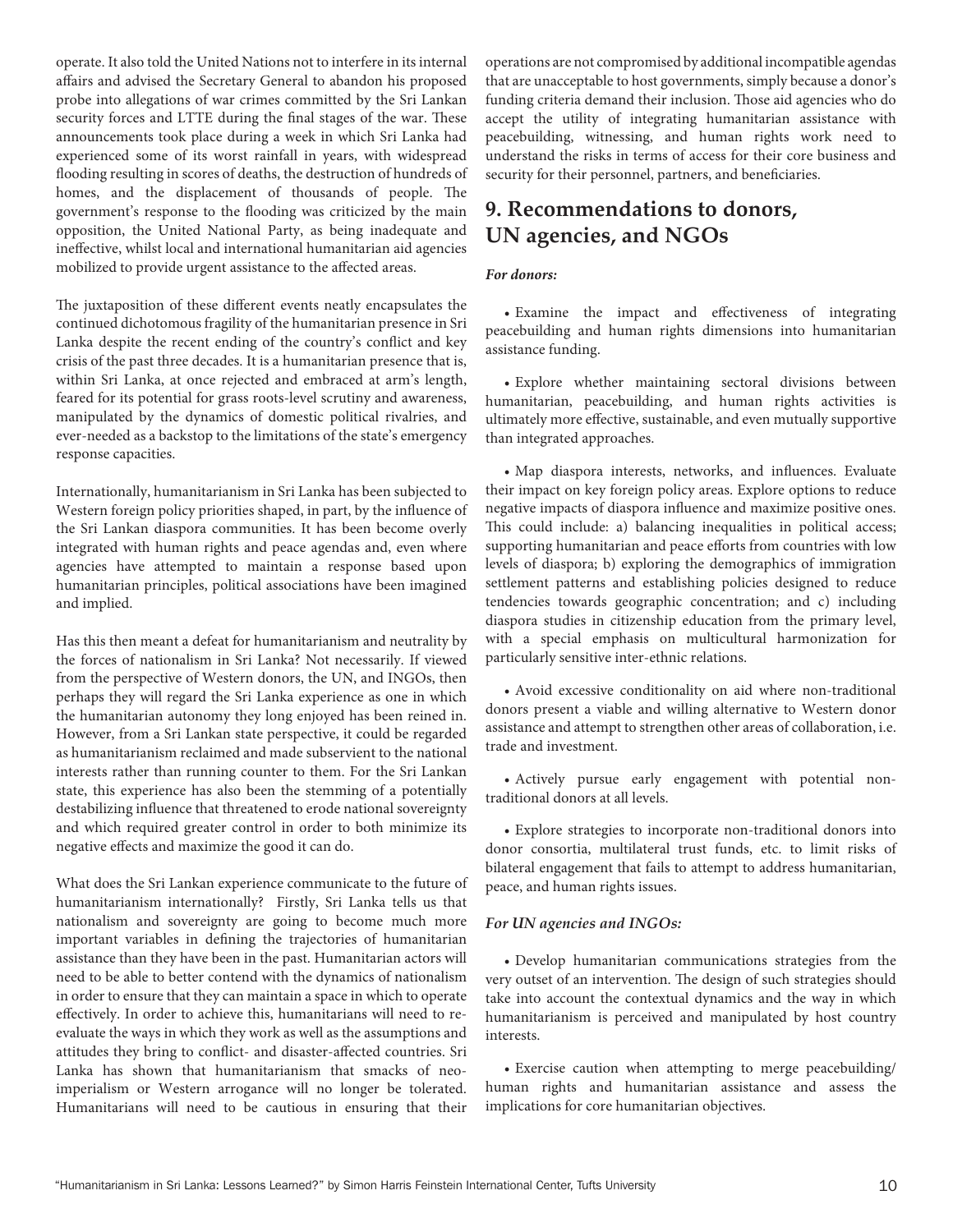operate. It also told the United Nations not to interfere in its internal affairs and advised the Secretary General to abandon his proposed probe into allegations of war crimes committed by the Sri Lankan security forces and LTTE during the final stages of the war. These announcements took place during a week in which Sri Lanka had experienced some of its worst rainfall in years, with widespread flooding resulting in scores of deaths, the destruction of hundreds of homes, and the displacement of thousands of people. The government's response to the flooding was criticized by the main opposition, the United National Party, as being inadequate and ineffective, whilst local and international humanitarian aid agencies mobilized to provide urgent assistance to the affected areas.

The juxtaposition of these different events neatly encapsulates the continued dichotomous fragility of the humanitarian presence in Sri Lanka despite the recent ending of the country's conflict and key crisis of the past three decades. It is a humanitarian presence that is, within Sri Lanka, at once rejected and embraced at arm's length, feared for its potential for grass roots-level scrutiny and awareness, manipulated by the dynamics of domestic political rivalries, and ever-needed as a backstop to the limitations of the state's emergency response capacities.

Internationally, humanitarianism in Sri Lanka has been subjected to Western foreign policy priorities shaped, in part, by the influence of the Sri Lankan diaspora communities. It has been become overly integrated with human rights and peace agendas and, even where agencies have attempted to maintain a response based upon humanitarian principles, political associations have been imagined and implied.

Has this then meant a defeat for humanitarianism and neutrality by the forces of nationalism in Sri Lanka? Not necessarily. If viewed from the perspective of Western donors, the UN, and INGOs, then perhaps they will regard the Sri Lanka experience as one in which the humanitarian autonomy they long enjoyed has been reined in. However, from a Sri Lankan state perspective, it could be regarded as humanitarianism reclaimed and made subservient to the national interests rather than running counter to them. For the Sri Lankan state, this experience has also been the stemming of a potentially destabilizing influence that threatened to erode national sovereignty and which required greater control in order to both minimize its negative effects and maximize the good it can do.

What does the Sri Lankan experience communicate to the future of humanitarianism internationally? Firstly, Sri Lanka tells us that nationalism and sovereignty are going to become much more important variables in defining the trajectories of humanitarian assistance than they have been in the past. Humanitarian actors will need to be able to better contend with the dynamics of nationalism in order to ensure that they can maintain a space in which to operate effectively. In order to achieve this, humanitarians will need to reevaluate the ways in which they work as well as the assumptions and attitudes they bring to conflict- and disaster-affected countries. Sri Lanka has shown that humanitarianism that smacks of neoimperialism or Western arrogance will no longer be tolerated. Humanitarians will need to be cautious in ensuring that their

operations are not compromised by additional incompatible agendas that are unacceptable to host governments, simply because a donor's funding criteria demand their inclusion. Those aid agencies who do accept the utility of integrating humanitarian assistance with peacebuilding, witnessing, and human rights work need to understand the risks in terms of access for their core business and security for their personnel, partners, and beneficiaries.

## **9. Recommendations to donors, UN agencies, and NGOs**

#### *For donors:*

 • Examine the impact and effectiveness of integrating peacebuilding and human rights dimensions into humanitarian assistance funding.

• Explore whether maintaining sectoral divisions between humanitarian, peacebuilding, and human rights activities is ultimately more effective, sustainable, and even mutually supportive than integrated approaches.

 • Map diaspora interests, networks, and influences. Evaluate their impact on key foreign policy areas. Explore options to reduce negative impacts of diaspora influence and maximize positive ones. This could include: a) balancing inequalities in political access; supporting humanitarian and peace efforts from countries with low levels of diaspora; b) exploring the demographics of immigration settlement patterns and establishing policies designed to reduce tendencies towards geographic concentration; and c) including diaspora studies in citizenship education from the primary level, with a special emphasis on multicultural harmonization for particularly sensitive inter-ethnic relations.

• Avoid excessive conditionality on aid where non-traditional donors present a viable and willing alternative to Western donor assistance and attempt to strengthen other areas of collaboration, i.e. trade and investment.

 • Actively pursue early engagement with potential nontraditional donors at all levels.

 • Explore strategies to incorporate non-traditional donors into donor consortia, multilateral trust funds, etc. to limit risks of bilateral engagement that fails to attempt to address humanitarian, peace, and human rights issues.

#### *For UN agencies and INGOs:*

 • Develop humanitarian communications strategies from the very outset of an intervention. The design of such strategies should take into account the contextual dynamics and the way in which humanitarianism is perceived and manipulated by host country interests.

 • Exercise caution when attempting to merge peacebuilding/ human rights and humanitarian assistance and assess the implications for core humanitarian objectives.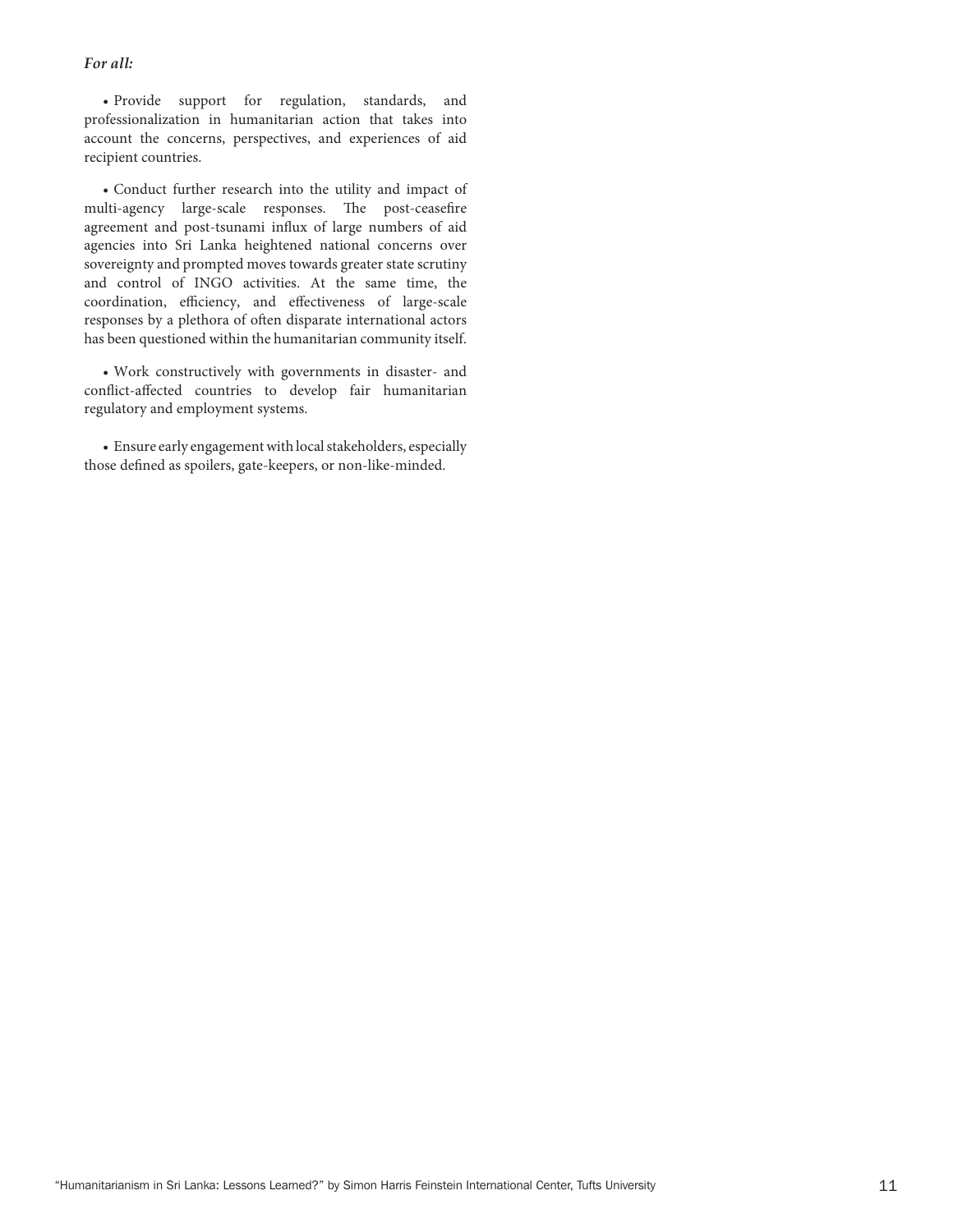#### *For all:*

 • Provide support for regulation, standards, and professionalization in humanitarian action that takes into account the concerns, perspectives, and experiences of aid recipient countries.

 • Conduct further research into the utility and impact of multi-agency large-scale responses. The post-ceasefire agreement and post-tsunami influx of large numbers of aid agencies into Sri Lanka heightened national concerns over sovereignty and prompted moves towards greater state scrutiny and control of INGO activities. At the same time, the coordination, efficiency, and effectiveness of large-scale responses by a plethora of often disparate international actors has been questioned within the humanitarian community itself.

 • Work constructively with governments in disaster- and conflict-affected countries to develop fair humanitarian regulatory and employment systems.

• Ensure early engagement with local stakeholders, especially those defined as spoilers, gate-keepers, or non-like-minded.